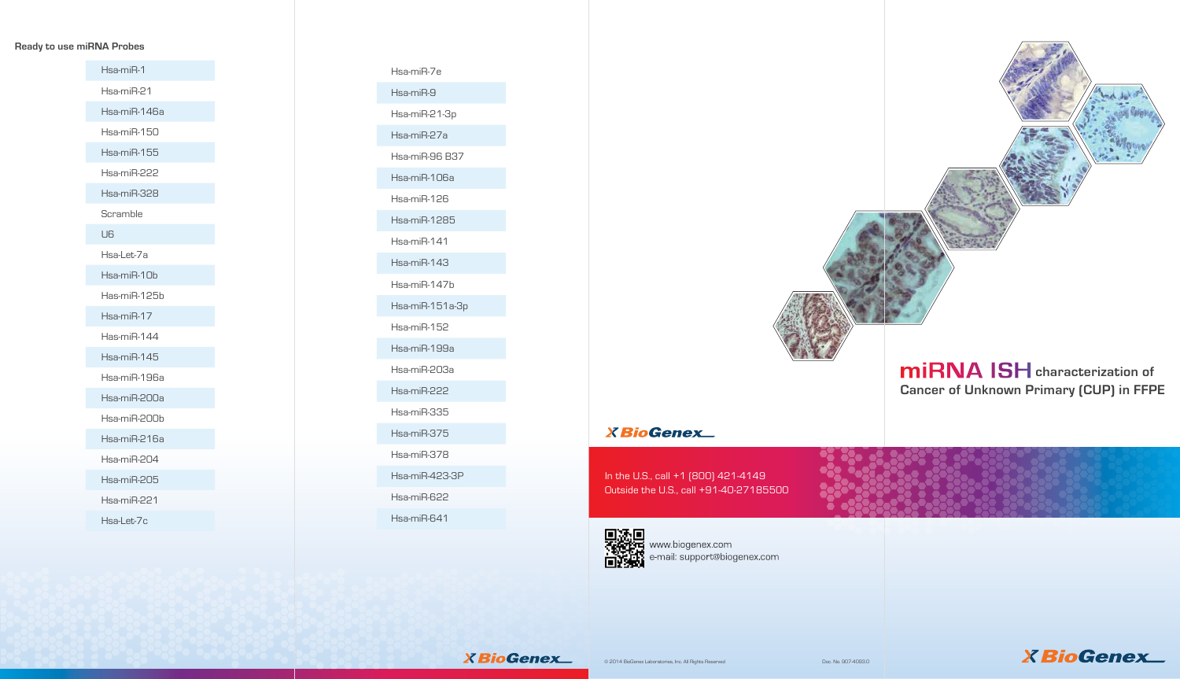# **miRNA ISH** characterization of **Cancer of Unknown Primary (CUP) in FFPE**





# **Ready to use miRNA Probes**

In the U.S., call +1 (800) 421-4149 Outside the U.S., call +91-40-27185500



www.biogenex.com e-mail: support@biogenex.com

**XBioGenex** 



Hsa-miR-1 Hsa-miR-21 Hsa-miR-146a Hsa-miR-150 Hsa-miR-155 Hsa-miR-222 Hsa-miR-328 Scramble U6 Hsa-Let-7a Hsa-miR-10b Has-miR-125b Hsa-miR-17 Has-miR-144 Hsa-miR-145 Hsa-miR-196a Hsa-miR-200a Hsa-miR-200b Hsa-miR-216a Hsa-miR-204 Hsa-miR-205 Hsa-miR-221 Hsa-Let-7c

Hsa-miR-7e Hsa-miR-9 Hsa-miR-21-3p Hsa-miR-27a Hsa-miR-96 B37 Hsa-miR-106a Hsa-miR-126 Hsa-miR-1285 Hsa-miR-141 Hsa-miR-143 Hsa-miR-147b Hsa-miR-151a-3p Hsa-miR-152 Hsa-miR-199a Hsa-miR-203a Hsa-miR-222 Hsa-miR-335 Hsa-miR-375 Hsa-miR-378 Hsa-miR-423-3P Hsa-miR-622 Hsa-miR-641



# **X** BioGenex